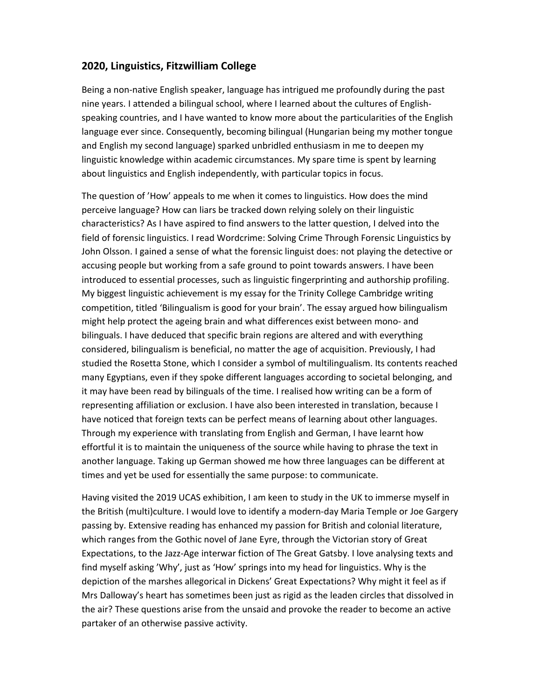## **2020, Linguistics, Fitzwilliam College**

Being a non-native English speaker, language has intrigued me profoundly during the past nine years. I attended a bilingual school, where I learned about the cultures of Englishspeaking countries, and I have wanted to know more about the particularities of the English language ever since. Consequently, becoming bilingual (Hungarian being my mother tongue and English my second language) sparked unbridled enthusiasm in me to deepen my linguistic knowledge within academic circumstances. My spare time is spent by learning about linguistics and English independently, with particular topics in focus.

The question of 'How' appeals to me when it comes to linguistics. How does the mind perceive language? How can liars be tracked down relying solely on their linguistic characteristics? As I have aspired to find answers to the latter question, I delved into the field of forensic linguistics. I read Wordcrime: Solving Crime Through Forensic Linguistics by John Olsson. I gained a sense of what the forensic linguist does: not playing the detective or accusing people but working from a safe ground to point towards answers. I have been introduced to essential processes, such as linguistic fingerprinting and authorship profiling. My biggest linguistic achievement is my essay for the Trinity College Cambridge writing competition, titled 'Bilingualism is good for your brain'. The essay argued how bilingualism might help protect the ageing brain and what differences exist between mono- and bilinguals. I have deduced that specific brain regions are altered and with everything considered, bilingualism is beneficial, no matter the age of acquisition. Previously, I had studied the Rosetta Stone, which I consider a symbol of multilingualism. Its contents reached many Egyptians, even if they spoke different languages according to societal belonging, and it may have been read by bilinguals of the time. I realised how writing can be a form of representing affiliation or exclusion. I have also been interested in translation, because I have noticed that foreign texts can be perfect means of learning about other languages. Through my experience with translating from English and German, I have learnt how effortful it is to maintain the uniqueness of the source while having to phrase the text in another language. Taking up German showed me how three languages can be different at times and yet be used for essentially the same purpose: to communicate.

Having visited the 2019 UCAS exhibition, I am keen to study in the UK to immerse myself in the British (multi)culture. I would love to identify a modern-day Maria Temple or Joe Gargery passing by. Extensive reading has enhanced my passion for British and colonial literature, which ranges from the Gothic novel of Jane Eyre, through the Victorian story of Great Expectations, to the Jazz-Age interwar fiction of The Great Gatsby. I love analysing texts and find myself asking 'Why', just as 'How' springs into my head for linguistics. Why is the depiction of the marshes allegorical in Dickens' Great Expectations? Why might it feel as if Mrs Dalloway's heart has sometimes been just as rigid as the leaden circles that dissolved in the air? These questions arise from the unsaid and provoke the reader to become an active partaker of an otherwise passive activity.